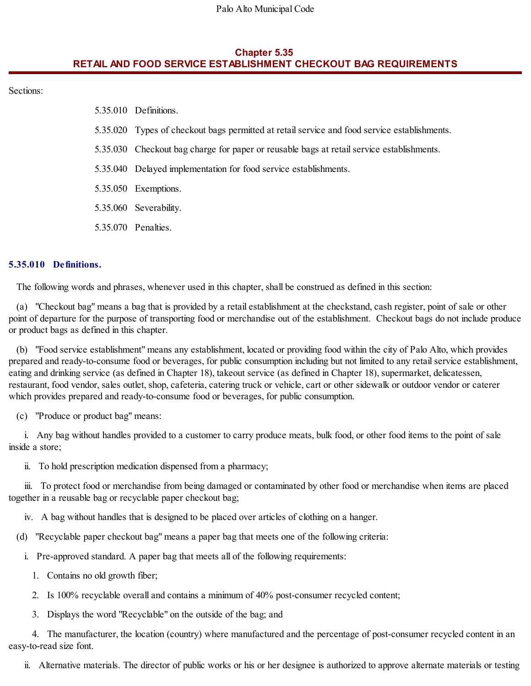#### Palo Alto Municipal Code

### **Chapter 5.35 RETAIL AND FOOD SERVICE ESTABLISHMENT CHECKOUT BAG REQUIREMENTS**

Sections:

| 5.35.010 Definitions.                                                                        |
|----------------------------------------------------------------------------------------------|
| 5.35.020 Types of checkout bags permitted at retail service and food service establishments. |
| 5.35.030 Checkout bag charge for paper or reusable bags at retail service establishments.    |
| 5.35.040 Delayed implementation for food service establishments.                             |
| 5.35.050 Exemptions.                                                                         |
| 5.35.060 Severability.                                                                       |

5.35.070 Penalties.

## **5.35.010 Definitions.**

The following words and phrases, whenever used in this chapter, shall be construed as defined in this section:

(a) "Checkout bag" means a bag that is provided by a retail establishment at the checkstand, cash register, point of sale or other point of departure for the purpose of transporting food or merchandise out of the establishment. Checkout bags do not include produce or product bags as defined in this chapter.

(b) "Food service establishment" means any establishment, located or providing food within the city of Palo Alto, which provides prepared and ready-to-consume food or beverages, for public consumption including but not limited to any retail service establishment, eating and drinking service (as defined in Chapter 18), takeout service (as defined in Chapter 18), supermarket, delicatessen, restaurant, food vendor, sales outlet, shop, cafeteria, catering truck or vehicle, cart or other sidewalk or outdoor vendor or caterer which provides prepared and ready-to-consume food or beverages, for public consumption.

(c) "Produce or product bag" means:

i. Any bag without handles provided to a customer to carry produce meats, bulk food, or other food items to the point of sale inside a store;

ii. To hold prescription medication dispensed from a pharmacy;

iii. To protect food or merchandise from being damaged or contaminated by other food or merchandise when items are placed together in a reusable bag or recyclable paper checkout bag;

- iv. A bag without handles that is designed to be placed over articles of clothing on a hanger.
- (d) "Recyclable paper checkout bag" means a paper bag that meets one of the following criteria:
	- i. Pre-approved standard. A paper bag that meets all of the following requirements:
		- 1. Contains no old growth fiber;
		- 2. Is 100% recyclable overall and contains a minimum of 40% post-consumer recycled content;
		- 3. Displays the word "Recyclable" on the outside of the bag; and

4. The manufacturer, the location (country) where manufactured and the percentage of post-consumer recycled content in an easy-to-read size font.

ii. Alternative materials. The director of public works or his or her designee is authorized to approve alternate materials or testing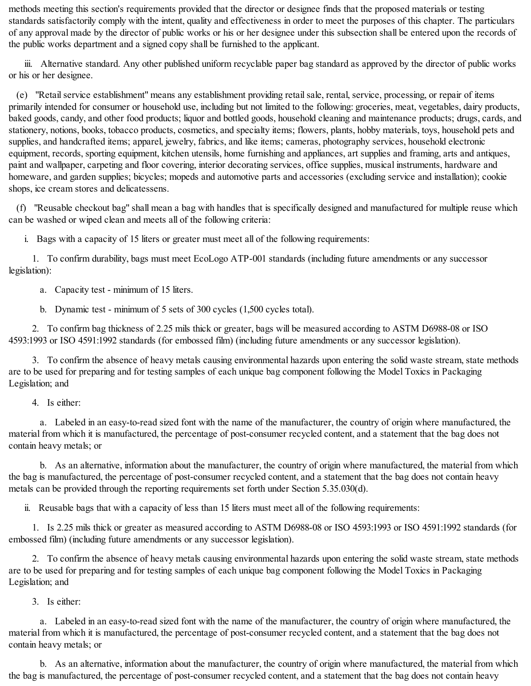methods meeting this section's requirements provided that the director or designee finds that the proposed materials or testing standards satisfactorily comply with the intent, quality and effectiveness in order to meet the purposes of this chapter. The particulars of any approval made by the director of public works or his or her designee under this subsection shall be entered upon the records of the public works department and a signed copy shall be furnished to the applicant.

iii. Alternative standard. Any other published uniform recyclable paper bag standard as approved by the director of public works or his or her designee.

(e) "Retailservice establishment" means any establishment providing retailsale, rental, service, processing, or repair of items primarily intended for consumer or household use, including but not limited to the following: groceries, meat, vegetables, dairy products, baked goods, candy, and other food products; liquor and bottled goods, household cleaning and maintenance products; drugs, cards, and stationery, notions, books, tobacco products, cosmetics, and specialty items; flowers, plants, hobby materials, toys, household pets and supplies, and handcrafted items; apparel, jewelry, fabrics, and like items; cameras, photography services, household electronic equipment, records, sporting equipment, kitchen utensils, home furnishing and appliances, art supplies and framing, arts and antiques, paint and wallpaper, carpeting and floor covering, interior decorating services, office supplies, musical instruments, hardware and homeware, and garden supplies; bicycles; mopeds and automotive parts and accessories (excluding service and installation); cookie shops, ice cream stores and delicatessens.

(f) "Reusable checkout bag" shall mean a bag with handles that is specifically designed and manufactured for multiple reuse which can be washed or wiped clean and meets all of the following criteria:

i. Bags with a capacity of 15 liters or greater must meet all of the following requirements:

1. To confirm durability, bags must meet EcoLogo ATP-001 standards (including future amendments or any successor legislation):

a. Capacity test - minimum of 15 liters.

b. Dynamic test - minimum of 5 sets of 300 cycles (1,500 cycles total).

2. To confirm bag thickness of 2.25 mils thick or greater, bags will be measured according to ASTM D6988-08 or ISO 4593:1993 or ISO 4591:1992 standards (for embossed film) (including future amendments or any successor legislation).

3. To confirm the absence of heavy metals causing environmental hazards upon entering the solid waste stream, state methods are to be used for preparing and for testing samples of each unique bag component following the Model Toxics in Packaging Legislation; and

4. Is either:

a. Labeled in an easy-to-read sized font with the name of the manufacturer, the country of origin where manufactured, the material from which it is manufactured, the percentage of post-consumer recycled content, and a statement that the bag does not contain heavy metals; or

b. As an alternative, information about the manufacturer, the country of origin where manufactured, the material from which the bag is manufactured, the percentage of post-consumer recycled content, and a statement that the bag does not contain heavy metals can be provided through the reporting requirements set forth under Section 5.35.030(d).

ii. Reusable bags that with a capacity of less than 15 liters must meet all of the following requirements:

1. Is 2.25 mils thick or greater as measured according to ASTM D6988-08 or ISO 4593:1993 or ISO 4591:1992 standards (for embossed film) (including future amendments or any successor legislation).

2. To confirm the absence of heavy metals causing environmental hazards upon entering the solid waste stream, state methods are to be used for preparing and for testing samples of each unique bag component following the Model Toxics in Packaging Legislation; and

3. Is either:

a. Labeled in an easy-to-read sized font with the name of the manufacturer, the country of origin where manufactured, the material from which it is manufactured, the percentage of post-consumer recycled content, and a statement that the bag does not contain heavy metals; or

b. As an alternative, information about the manufacturer, the country of origin where manufactured, the material from which the bag is manufactured, the percentage of post-consumer recycled content, and a statement that the bag does not contain heavy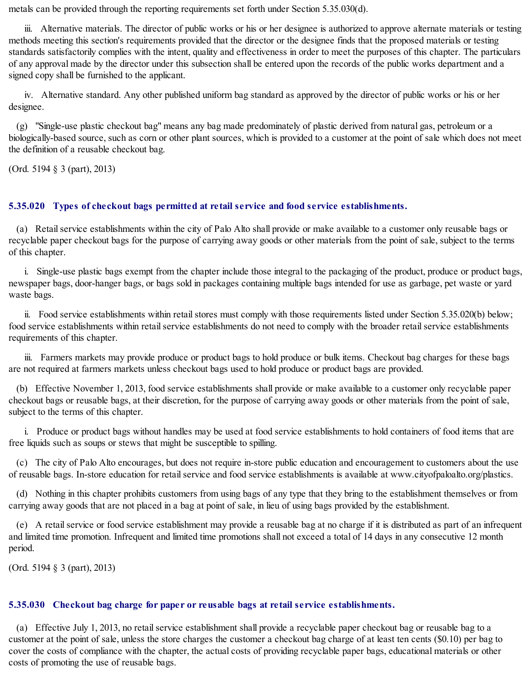metals can be provided through the reporting requirements set forth under Section 5.35.030(d).

iii. Alternative materials. The director of public works or his or her designee is authorized to approve alternate materials or testing methods meeting this section's requirements provided that the director or the designee finds that the proposed materials or testing standards satisfactorily complies with the intent, quality and effectiveness in order to meet the purposes of this chapter. The particulars of any approval made by the director under this subsection shall be entered upon the records of the public works department and a signed copy shall be furnished to the applicant.

iv. Alternative standard. Any other published uniform bag standard as approved by the director of public works or his or her designee.

(g) "Single-use plastic checkout bag" means any bag made predominately of plastic derived from natural gas, petroleum or a biologically-based source, such as corn or other plant sources, which is provided to a customer at the point of sale which does not meet the definition of a reusable checkout bag.

(Ord. 5194 § 3 (part), 2013)

### **5.35.020 Types of checkout bags permitted at retail service and food service establishments.**

(a) Retailservice establishments within the city of Palo Alto shall provide or make available to a customer only reusable bags or recyclable paper checkout bags for the purpose of carrying away goods or other materials from the point of sale, subject to the terms of this chapter.

i. Single-use plastic bags exempt from the chapter include those integral to the packaging of the product, produce or product bags, newspaper bags, door-hanger bags, or bags sold in packages containing multiple bags intended for use as garbage, pet waste or yard waste bags.

ii. Food service establishments within retail stores must comply with those requirements listed under Section 5.35.020(b) below; food service establishments within retail service establishments do not need to comply with the broader retail service establishments requirements of this chapter.

iii. Farmers markets may provide produce or product bags to hold produce or bulk items. Checkout bag charges for these bags are not required at farmers markets unless checkout bags used to hold produce or product bags are provided.

(b) Effective November 1, 2013, food service establishments shall provide or make available to a customer only recyclable paper checkout bags or reusable bags, at their discretion, for the purpose of carrying away goods or other materials from the point of sale, subject to the terms of this chapter.

i. Produce or product bags without handles may be used at food service establishments to hold containers of food items that are free liquids such as soups or stews that might be susceptible to spilling.

(c) The city of Palo Alto encourages, but does not require in-store public education and encouragement to customers about the use of reusable bags. In-store education for retail service and food service establishments is available at www.cityofpaloalto.org/plastics.

(d) Nothing in this chapter prohibits customers from using bags of any type that they bring to the establishment themselves or from carrying away goods that are not placed in a bag at point of sale, in lieu of using bags provided by the establishment.

(e) A retailservice or food service establishment may provide a reusable bag at no charge if it is distributed as part of an infrequent and limited time promotion. Infrequent and limited time promotions shall not exceed a total of 14 days in any consecutive 12 month period.

(Ord. 5194 § 3 (part), 2013)

# **5.35.030 Checkout bag charge for paper or reusable bags at retail service establishments.**

(a) Effective July 1, 2013, no retailservice establishment shall provide a recyclable paper checkout bag or reusable bag to a customer at the point of sale, unless the store charges the customer a checkout bag charge of at least ten cents (\$0.10) per bag to cover the costs of compliance with the chapter, the actual costs of providing recyclable paper bags, educational materials or other costs of promoting the use of reusable bags.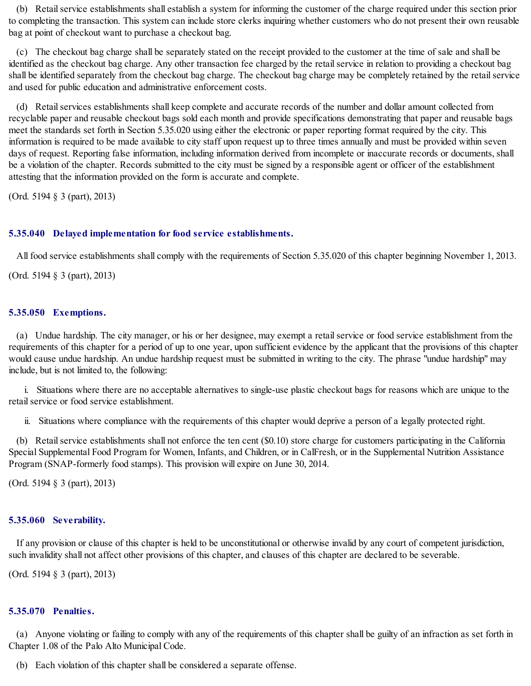(b) Retail service establishments shall establish a system for informing the customer of the charge required under this section prior to completing the transaction. This system can include store clerks inquiring whether customers who do not present their own reusable bag at point of checkout want to purchase a checkout bag.

(c) The checkout bag charge shall be separately stated on the receipt provided to the customer at the time of sale and shall be identified as the checkout bag charge. Any other transaction fee charged by the retailservice in relation to providing a checkout bag shall be identified separately from the checkout bag charge. The checkout bag charge may be completely retained by the retail service and used for public education and administrative enforcement costs.

(d) Retailservices establishments shall keep complete and accurate records of the number and dollar amount collected from recyclable paper and reusable checkout bags sold each month and provide specifications demonstrating that paper and reusable bags meet the standards set forth in Section 5.35.020 using either the electronic or paper reporting format required by the city. This information is required to be made available to city staff upon request up to three times annually and must be provided within seven days of request. Reporting false information, including information derived from incomplete or inaccurate records or documents, shall be a violation of the chapter. Records submitted to the city must be signed by a responsible agent or officer of the establishment attesting that the information provided on the form is accurate and complete.

(Ord. 5194 § 3 (part), 2013)

# **5.35.040 Delayed implementation for food service establishments.**

All food service establishments shall comply with the requirements of Section 5.35.020 of this chapter beginning November 1, 2013.

(Ord. 5194 § 3 (part), 2013)

#### **5.35.050 Exemptions.**

(a) Undue hardship. The city manager, or his or her designee, may exempt a retailservice or food service establishment from the requirements of this chapter for a period of up to one year, upon sufficient evidence by the applicant that the provisions of this chapter would cause undue hardship. An undue hardship request must be submitted in writing to the city. The phrase "undue hardship" may include, but is not limited to, the following:

i. Situations where there are no acceptable alternatives to single-use plastic checkout bags for reasons which are unique to the retail service or food service establishment.

ii. Situations where compliance with the requirements of this chapter would deprive a person of a legally protected right.

(b) Retail service establishments shall not enforce the ten cent (\$0.10) store charge for customers participating in the California Special Supplemental Food Program for Women, Infants, and Children, or in CalFresh, or in the Supplemental Nutrition Assistance Program (SNAP-formerly food stamps). This provision will expire on June 30, 2014.

(Ord. 5194 § 3 (part), 2013)

### **5.35.060 Severability.**

If any provision or clause of this chapter is held to be unconstitutional or otherwise invalid by any court of competent jurisdiction, such invalidity shall not affect other provisions of this chapter, and clauses of this chapter are declared to be severable.

(Ord. 5194 § 3 (part), 2013)

#### **5.35.070 Penalties.**

(a) Anyone violating or failing to comply with any of the requirements of this chapter shall be guilty of an infraction as set forth in Chapter 1.08 of the Palo Alto Municipal Code.

(b) Each violation of this chapter shall be considered a separate offense.